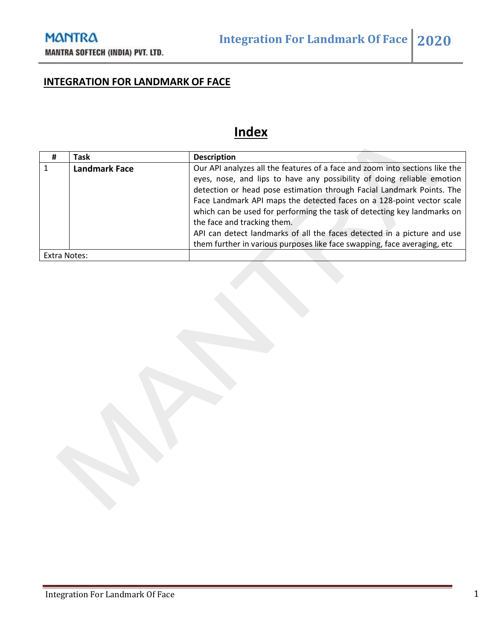# **INTEGRATION FOR LANDMARK OF FACE**

# **Index**

| #            | <b>Task</b>          | <b>Description</b>                                                          |
|--------------|----------------------|-----------------------------------------------------------------------------|
|              | <b>Landmark Face</b> | Our API analyzes all the features of a face and zoom into sections like the |
|              |                      | eyes, nose, and lips to have any possibility of doing reliable emotion      |
|              |                      | detection or head pose estimation through Facial Landmark Points. The       |
|              |                      | Face Landmark API maps the detected faces on a 128-point vector scale       |
|              |                      | which can be used for performing the task of detecting key landmarks on     |
|              |                      | the face and tracking them.                                                 |
|              |                      | API can detect landmarks of all the faces detected in a picture and use     |
|              |                      | them further in various purposes like face swapping, face averaging, etc    |
| Extra Notes: |                      |                                                                             |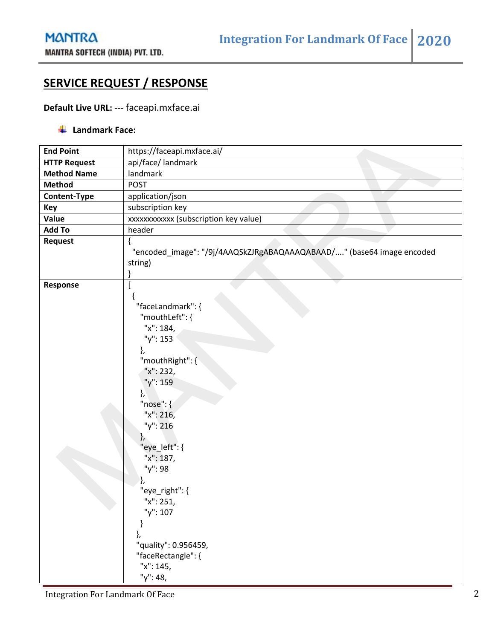### **SERVICE REQUEST / RESPONSE**

#### **Default Live URL:** --- faceapi.mxface.ai

#### **Landmark Face:**

| <b>End Point</b>    | https://faceapi.mxface.ai/                                                                                                                                                                                                                                     |
|---------------------|----------------------------------------------------------------------------------------------------------------------------------------------------------------------------------------------------------------------------------------------------------------|
| <b>HTTP Request</b> | api/face/ landmark                                                                                                                                                                                                                                             |
| <b>Method Name</b>  | landmark                                                                                                                                                                                                                                                       |
| <b>Method</b>       | <b>POST</b>                                                                                                                                                                                                                                                    |
| Content-Type        | application/json                                                                                                                                                                                                                                               |
| Key                 | subscription key                                                                                                                                                                                                                                               |
| Value               | xxxxxxxxxxx (subscription key value)                                                                                                                                                                                                                           |
| <b>Add To</b>       | header                                                                                                                                                                                                                                                         |
| Request             | "encoded_image": "/9j/4AAQSkZJRgABAQAAAQABAAD/" (base64 image encoded                                                                                                                                                                                          |
|                     | string)                                                                                                                                                                                                                                                        |
| Response            | "faceLandmark": {<br>"mouthLeft": {<br>"x": 184,<br>"y": 153<br>},<br>"mouthRight": {<br>"x": 232,<br>"y": 159<br>},<br>" $nose"$ : {<br>"x": 216,<br>"y": 216<br>},<br>"eye_left": {<br>"x": 187,<br>"y": 98<br>"eye_right": {<br>"x": 251,<br>"y": 107<br>j, |
|                     | "quality": 0.956459,<br>"faceRectangle": {<br>"x": 145,                                                                                                                                                                                                        |
|                     | "y": 48,                                                                                                                                                                                                                                                       |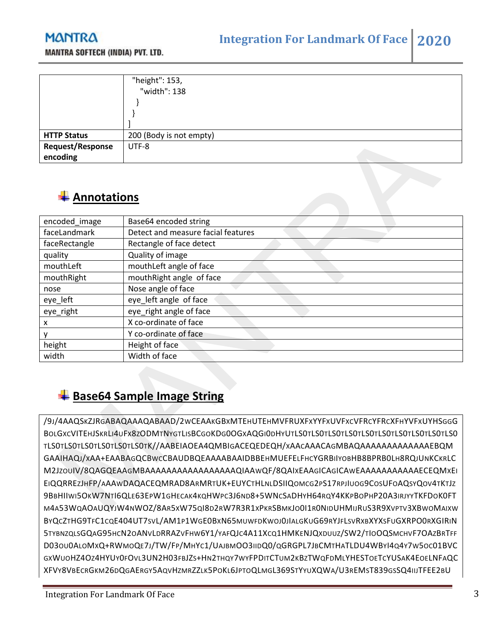### **MANTRA**



|                                     | "height": 153,<br>"width": 138 |
|-------------------------------------|--------------------------------|
| <b>HTTP Status</b>                  | 200 (Body is not empty)        |
| <b>Request/Response</b><br>encoding | UTF-8                          |

## **Annotations**

| encoded_image | Base64 encoded string              |
|---------------|------------------------------------|
| faceLandmark  | Detect and measure facial features |
| faceRectangle | Rectangle of face detect           |
| quality       | Quality of image                   |
| mouthLeft     | mouthLeft angle of face            |
| mouthRight    | mouthRight angle of face           |
| nose          | Nose angle of face                 |
| eye_left      | eye_left angle of face             |
| eye_right     | eye_right angle of face            |
| х             | X co-ordinate of face              |
|               | Y co-ordinate of face              |
| height        | Height of face                     |
| width         | Width of face                      |

## **Base64 Sample Image String**

/9J/4AAQSKZJRGABAQAAAQABAAD/2WCEAAKGBXMTEHUTEHMVFRUXFXYYFXUVFXCVFRCYFRCXFHYVFXUYHSGGG BOLGXCVITEHJSKRLI4UFX8ZODMTNYGTLISBCGOKDG0OGXAQGI0DHYUTLS0TLS0TLS0TLS0TLS0TLS0TLS0TLS0TLS0TLS0 TLS0TLS0TLS0TLS0TLS0TLS0TK//AABEIAOEA4QMBIGACEQEDEQH/XAACAAACAGMBAQAAAAAAAAAAAAAEBQM GAAIHAQJ/XAA+EAABAGQCBWCCBAUDBQEAAAABAAIDBBEHMUEFELFHCYGRBIIYOBHB8BPRB0LH8RQJUNKCKRLC M2JZOUIV/8QAGQEAAGMBAAAAAAAAAAAAAAAAAQIAAWQF/8QAIXEAAGICAGICAWEAAAAAAAAAAAECEQMXEI EIQQRREZJHFP/AAAWDAQACEQMRAD8ARMRTUK+EUYCTHLNLDSIIQOMCG2PS17RPJIUOG9COSUFOAQSYQOV4TKTJZ 9BBHIIWI5OKW7NTI6QLE63EPW1GHECAK4KQHWPC3J6ND8+5WNCSADHYH64RQY4KKPBOPHP20A3IRJYYTKFDOK0FT M4A53WQAOAUQYJW4NWOZ/8AR5XW75QI8D2RW7R3R1XPKRSBMKJO0I1R0NIDUHMIJRUS3R9XVPTV3XBWOMAIXW BYQCZTHG9TFC1CQE404UT7SVL/AM1P1WGE0BXN65MUWFDKWOJ0JIALGKUG69RYJFLSVRXBXYXSFUGXRPO0RXGIRIN 5TYBNZQLSGQAG95HCN2OANVLDRRAZVFHW6Y1/YAFQJC4A11XCQ1HMKENJQXDUUZ/SW2/TIOOQSMCHVF7OAZBRTFF D03OU0ALOMXQ+RWMOQE7J/TW/FP/MHYC1/UAJBMOO3IIDQ0/QGRGPL7JBCMTHATLDU4WBYI4Q4Y7W5OC01BVC GXWUOHZ4OZ4HYUY0FOVL3UN2H03FBJZS+HN2THQY7WYFPDITCTUM2KBZTWQFDMLYHESTOETCYUSAK4EOELNFAQC XFVY8VBECRGKM26DQGAERGY5AQVHZMRZZLK5POKL6JPTOQLMGL369STYYUXQWA/U3REMST839GSSQ4IIJTFEE2BU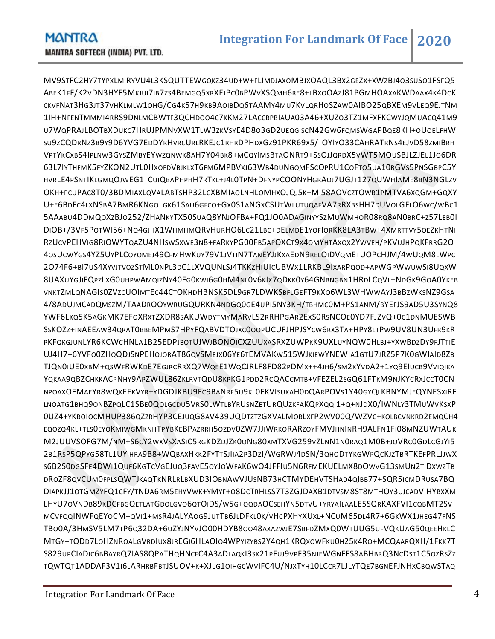MV9STFC2HY7TYPXLMIRYVU4L3KSQUTTEWGQKZ34UD+W+FLIMDJAXOMBJXOAQL3BX2GEZX+XWZBJ4Q3SUSO1FSFQ5 ABEK1FF/K2VDN3HYF5MKJUI7IB7ZS4BEMGQ5XRXEJPC0BPWVXSQMH6RE8+LBXOOAZJ81PGMHOAXAKWDAAX4K4DCK CKVFNAT3HG3JT37VHKLMLW1OHG/CG4K57H9KB9AOIBDQ6TAAMY4MU7KVLQRHOSZAW0AIBO25QBXEM9VLEQ9EJTNM 1IH+NFENTMMMI4RRS9DNLMCBWTF3QCHDOO4C7KKM27LACCBPBIAUA03A46+XUZO3TZ1MFXFKCWYJQMUACQ41M9 U7WQPRAJLBOTBXDUKC7HRUJPMNVXW1TLW3ZKVSYE4D8O3GD2UEQGISCN42GW6FQMSWGAPBQE8KH+OUOELFHW SU9ZCQDRNZ3B9Y9D6YVG7EDDYRHVRCURLRKEJC1RHRDPHDXGZ91PKR69X5/TOYIYO33CAHRATRNS4EJVD58ZMIBRH VPTYKCXBS4IPLNW3GYSZMBYEYWZQNWK8AH7Y04BK8+MCQYIMSBTAONRT9+SSOJJQRDX5VWT5MOUSBJLZJEL1JO6DR 63L7IYTHFMK5FYZKON2UTL0HXOFDVBJKLXT6FM6MPBVXJ63WB4DUNGQMFSCOPRU1COFTO5UA10RGVS5PNSGBPC5Y HVRLE4PSNTIKLGMQOJWEG1TCUIQBAPHPHH7RTKL+J4L0TPN+DFNYPCOONYHGRAOJ7UGJT127QUWHIAME8BN3NGLZV OKH+PCUPAC8T0/3BDMIAXLQVALABTSHP32LCXBMIAOLNHLOMHXOJQJ5K+MI58AOVCZTOWB1PMTVA6XQGM+GQXY U+E6BDFC4LXNSBA7BMR6KNGOLGK61SAU6GFCO+GX0S1ANGXCSUTWLUTUQAFVA7RRXBSHH7DUVOLGFLO6WC/WBC1 5AAABU4DDMQOXZBJO252/ZHANKYTX50SUAQ8YNJOFBA+FQ1JO0ADAGINYYSZMUWMHOR08RQ8AN0BRC+Z57LEB0I DIOB+/3VF5POTWI56+NQ4GJHX1WHMHMQRVHURHO6LC21LBC+DELMDE1YOFIORKK8LA3TBW+4XMRTTVY5OEZKHTNI RZUCVPEHVIG8RIOWYTQAZU4NHSWSXWE3N8+FARKYPG00FB5APOXCT9X4OMYHTAXQX2YWVEH/PKVUJHPQKFRRG2O 4OSUCWYGS4YZ5UYPLCOYOMEJ49CFMHWKUY79V1JVTIN7TANEYJJKXAEDN9RELOIDVQMETUOPCHJM/4WUQM8LWPC 2O74F6+BI7US4XYVJTVOZSTML0NPL3DC1LXVQUNLSJ4TKKZHIUICUBWX1LRKBL9IXARPQOD+APWGPWWUWSI8UQXW 8UAXUYGJIFQPZLXG0UHPWAMQIZNY40FG0KWI6G0HM4NL0V6KIX7QDKK0Y64GNBNGBN1HRDLCQVL+NDGK9GOA0YKEB VNKTZMLQNAGIS0ZVZCUOIMTEC44CTOKHDHBNSK5DL9GR7LDWKSBFLGEFT9KXO6WL3WHWWAYJ3BBZWKSNZ9GSA 4/8ADUJMCADQMSZM/TAADROOYWRUGQURKN4NDGQ0GE4UPI5NY3KH/TBHMC0M+PS1ANM/BYEFJS9AD5U3SYNQ8 YWF6LKQ5K5AGKMK7EFOXRXTZXDR8SAKUWDYTMYMARVLS2RRHPGAR2EXS0RSNCOE0YD7FJZVQ+0C1DNMUESWB SSKOZZ+INAEEAW34QRAT0BBEMPMS7HPYFQABVDTOJXC0OOPUCUFJHPJSYCW6RX3TA+HPY8LTPW9UV8UN3UFR9KR PKFQKGJUNLYR6KCWCHNLA1B25EDPJBOTUJWJBONOICXZUUXASRXZUWPKK9UXLUYNQW0HLBJ+YXWBDZDY9FJTTIE UJ4H7+6YVFO0ZHQQDJSNPEHOJORAT86QVSMEJX06YE6TEMVAKW515WJKIEWYNEWIA1GTU7JRZ5P7K0GWIAID8ZB TJQN0IUE0XBM+QSWFRWKDE7EGJRCRRXQ7WQEE1WQCJRLF8FD82PDMX++4JH6/SM2KYVDA2+1YQ9EIUCB9VVIQIKA YQKAA9QBZCHKKACPNHY9APZWUL86ZKLRVTQDU8KPKG1PDD2RCQACCMTB+VFEZEL2SGQ61FTKM9NJKYCRXJCCT0CN NPOAXOFMAEYR8WQKEEKVYR+YDGDJKBU9FC9BANRF5U9KL0FKVISUKAH0DQARPOVS1Y40GYQLKBNYMJEQYNESXIRF LNOATG1BHQ9ONBZPQLC1SBE0QOLGCDU5VRS0LWTLBYRUSNZETURQUZKFAKQPXQQI1+Q+NJDX0/IWNLY3TMUWVKSXP 0UZ4+YKBOIOCMHUP386QZZRHYP3CEJUQG8AV439UQDTZTZGXVALMOBLXFP2WV00Q/WZVC+KOLBCVNKRD2EMQCH4 EQOZQ4KL+TLS0EYOKMIWGMKNHTPYBKEBPAZRRH5OZDV0ZW7JJIWRKORARZOYFMVJHNINRH9ALFN1FI08MNZUWTAUK M2JUUVSOFG7M/NM+S6CY2WXVSXASIC5RGKDZDJZK0ONG80XMTXVG259VZLNN1N0RAQ1M0B+JOVRC0GDLCGJYI5 2B1RSP5QPYG58TL1UYIHRA9B8+WQBAXHKK2FYTTSJIIA2P3DZI/WGRWJ4DSN/3QHODTYKGWPQCKJZTBRTKEFPRLJJWX S6B2S0DGSFE4DWI1QUF6KGTCVGEJUQ3FAVE5OYJOWFAK6WO4JFFIU5N6RFMEKUELMX8DOWVG13SMUN2TIDXWZTB DROZF8QVCUM0FPLSQWTJKAQTKNRLRLBXUD3IOBNAWVJUSNB73HCTMYDEHVTSHAD4QIBB77+SQR5ICMDRUSA7BQ DIAPKJJ1OTGMZYFQ1CFY/TNDA6RM5EHYVWK+YMYF+O8DCTRHLSS7T3ZGJDAXB1DTVSM8ST8MTHOY3UJCADVIHYBXXM LHYU7OVNDB89KDCFBGQETLATGDOLGVO6QTOIDS/W5G+QQDAOCSEHYN5DTVU+YRYAILAALE5SQRKAXFVI1CQBMT2SV MCVFQQINWFQEYOCM+QVI1+MSR4JALYAOG9JUTTB6JLDFKL0K/VHCPXHYXUXL+NCUM65DL4R7+6GKWX1JHEG47FNS TBO0A/3HMSV5LM7TP6Q32DA+6UZYJNYVJO00HDYB8OO48AXAZWJE7SBFDZMXQ0WTUUG5UFVQKUAG50QEEHKLC MTGY+TQDD7LOHZNROALGVRDIUX8JREGI6HLAOIO4WPYIZYBS2Y4QH1KRQXOWFKU0H25K4RO+MCQAARQXH/1FKK7T S829UPCIADIC6BBAYRQ7IAS8QPATHQHNCFC4A3ADLAQKI3SK21PFUJ9VPF35NJEWGNFFS8ABHBRQ3NCDST1C5OZRSZZ TQWTQT1ADDAF3V1I6LARHRBFBTJSUOV+K+XJLG1OIHGCWVIFC4U/NJXTYH10LCCR7LJLYTQE7BGNEFJNHXCBQWSTAQ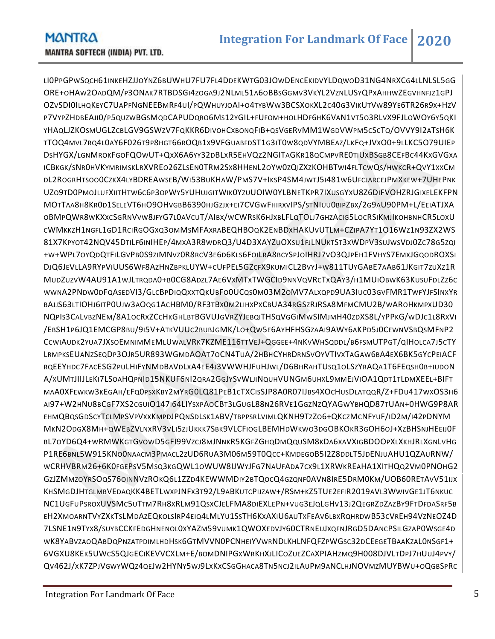LI0PPGPWSQCH61INKEHZJJOYNZ6BUWHU7FU7FL4DDEKWTG03JOWDENCEKIDVYLDQWOD31NG4NRXCG4LLNLSL5GG ORE+OHAW2OADQM/P3ONAK7RTBDSGI4ZOGA9J2NLML51A6OBBSGGMV3VKYL2VZNLUSYQPXAHHWZEGVHNFJZ1GPJ OZVSDI0ILHQKEYC7UAPFNGNEEBMRF4UI/PQWHUYJOAI+O4TYBWW3BCSXOKXL2C40G3VIKUTVW89YE6TR26R9X+HZV P7VYPZHDBEAJI0/P5QUZWBGSMQDCAPUDQRO6MS12YGIL+FUFOM+HOLHDF6HK6VAN1VT5O3RLVX9FJLOWOY6Y5QKI YHAQLJZKOSMUGLZCBLGV9GSWZV7FQKKR6DIVOHCXBONQFIB+QSVGERVMM1WGDVWPM5CSCTQ/OVVY9I2ATSH6K TTOQ4MVL7RQ4L0AY6F026T9P8HGT66ROQB1X9VFGUABFDST1G3IT0W8QDVYMBEAZ/LKFQ+JVXO0+9LLKC5O79UIEP DSHYGX/LGNMROKFGOFQOWUT+QXX6A6YY32DBLXR5EHVQZ2NGITAGKR18QCMPVRE0TIUXBSGB8CEFBC44KXGVGXA ICBKGK/SNR0HVKYMRIMSKLRXVREO26ZLSEN0TRM2SX8HHENL2OYW0ZQIZXZKOHBTWI4FLTCWQS/HWKCR+QVY1XXCM DL2ROGRHTSOO0CZKX4LYBDREAWSEB/WI53BUKHAW/PMS7V+IKSP4SM4JWTJ5I481W6UFCJARCEJPMXKEW+7UHEPNK UZO9TD0PMOJLUFXIITHTW6C6P3OPWY5YUHUJGITWIK0YZUUOIW0YLBNETKPR7IXUSGYXU8Z6DIFVOHZRJGIXELEKFPN MOTTAA8H8KR0D1SELEVT6HO9OHVGBB6390HJGZJX+EI7CVGWFHIRXVIPS/STNIUU0BIPZBX/2G9AU90PM+L/EEIATJXA OBMPQWR8WKXXCSGRNVVW8JFYG7L0AVCUT/AIBX/WCWRSK6HJXBLFLQTOLJ7GHZACIG5LOCRSIKMJIKOHBNHCR5LOXU CWMKKZH1NGFL1GD1RCIRGOGXQ3OMMSMFAXRABEQHBOQK2ENBDXHAKUVUTLM+CZIPA7YT1O16WZ1N93ZX2WS 81X7KPYOT42NQV45DTILF6INIHEP/4MXA3R8WDRQ3/U4D3XAYZUOXSU1FJLNUKTST3XWDPV3SUJWSVDJ0ZC78G5ZQI +W+WPL7OYQDQTFILGVPB0S9ZIMNVZ0R8RCV3E6D6KLS6FOILRA8BCYSPJOIHRJ7VO3QJPEH1FVHYS7EMXJGQODROXSI DJQ6JEVLLA9RYPVIUUS6WF8AZHNZBPKLUYW+CUFPEL5GZCFX9KUMICL2BVYJ+W811TUYGABE7AAB61JKGIT7ZUXZ1R MUDZUZVW4AU91A1WJLTRQDA0+B0CG8ADZL7AE6VXMTXTWGCID9NNVQVRCTXQAY3/H1MUIOBWK63KUSUFDLZZ6C WWNA2PNDW0DFQASEDVI3/GLCBPDIQQXXTQKUBFO0UCQS0M03M2OMV7ALXQPD9UA3IUC03GVFMR1TWFYJFSINXYR BAJJS63LTIOHJ6ITP0UJW3AOQG1ACHBM0/RF3TBX0M2LIHXPXCBUA34RGSZRJRSA8MFMCMU2B/WAROHKMPXUD30 NQPIS3CALVBZNEM/8A1OCRXZCCHKGHLBTBGVUJGVRZYJEBQITHSQVGGIMWSIMJMH40ZDXS8L/YPPKG/WDJC1L8RXVI /EBSH1P6JQ1EMCGP8BU/9I5V+ATKVUUC2BUBJGMK/LO+QW5E6AYHFHSGZAAI9AWY6AKPD5J0CEWNVSBQSMFNP2 CCWIAUDK2YUA7JXSOEMNIMMEMLUWALVRK7KZME116TTVEJ+QGGEE+4NKVWHSQDDL/B6FSMUTPGT/QIHOLCA7J5CTY LRMPKSEUANZSEQDP3OJR5UR893WGMDAOAT7OCN4TUA/2HBHCYHRDRNSVOYVTIVXTAGAW6BA4EX6BK5GYCPEIACF RQEEYHDC7FACESG2PULHIFYNMDBAVDLXA4EE4J3VWWHJFUHJWL/D6BHRAHTUSQ1OLSZYRAQA1T6FEQSH0B+IUDON A/XUMTJIIJLEKI7LSOAHQPNID15NKUF6NI2QRA2GGJYSVWLJINQUHVUNGM6UHXL9MMEJVIOA1QDT1TLDMXEEL+BIFT MAA0XFEWKW3KEGAH/EFQ0PSXKBY2MYRG0LQ81PEB1CTXCISSJP8A0R07IJBS4XOCHUSDLATQQR/Z+FDU417WXOS3H6 AI97+W2HNU8BCGF7XS2CGUIO147I64LIYSXPAOCBT3LGUGL88N26RVE1GGZNZQYAGWYBHQD87TUAN+0HWG9P8AR EHMQBQSGDSCYTCLMPSVPVXXKMPDJPQNSDLSK1ABV/TBPPSRLVIMLQKNH9TZZO6+QKCZMCNFYUF/ID2M/I42PDNYM MKN2ODGX8MH+QWEBZVLNXRV3VLI5ZJUKKK7SBK9VLCFIOGLBEMHDWKWO3DGOBKOKR3GOH6OJ+XZBHSNJHEEIJ0F BL7OYD6Q4+WRMWKGTGVOWD5GFI99VZCJ8MJNNKR5KGFZGHQDMQQUSM8KDA6XAVXIGBDOOPXLXKHJRLXGNLVHG P1RE6BNL5W915KNO0NAACM3PMACL2ZUD6RUA3M06M59T0QCC+KMDEGOB5I2Z8DDLT5JDENJUAHU1QZAURNW/ WCRHVBRM26+6K0FGEPSV5MSQ3KGQWL1OWUW8IJWYJFG7NAUFADA7CX9L1XRWKREAHA1XITHQQ2VM0PNOHG2 GZJZMMZOYRSOQS76OINNVZROKQ6L1ZZD4KEWWMDIY2BTQOCQ4GZQNF0AVN8IRE5DRM0KM/UOB60RETAVV51IJX KHSMGDJHTGLMBVEDAQKK4BETLWXPJNFX3T92/L9ABKUTCPIJZAW+/RSM+KZ5TUE2EFIR2019AVL3WWIVGE1JT6NKUC NC1UGFUPSROXUVSMC5UTTM7RH8XRLM91QSXCJELFMA8DIEXLEPN+VUG3EJQLGHV13J2QEGRZDZAZBY9FTDFDASRF5B EH2XMOARNTVYZXKTSLMDAZEQKOLSIRP4EIQ4LMLYU1SSTH6KXAXIU6AUTXFEAV6LBXRQHRDWB53CVREH94VZNEOZ4D 7LSNE1N9TYX8/SUYBCCKFEDGHNENOL0XYAZM59VUMK1QWOXEDVJY60CTRNEUJXQFNJRGD5DANCPSILGZAP0WSGE4D WK8YABVZAOQABDQPNZATPDIMLHDHSK6GTMVVN0PCNHEIYVWRNDLKHLNFQFZPWGSC32DCEEGETBAAKZAL0NSGF1+ 6VGXU8KEK5UWCS5QJGECIKEVVCXLM+E/BOMDNIPGXWRKHXJLICOZUEZCAXPIAHZMQ9H008DJVLTDPJ7HUUJ4PVY/ QV462J/XK7ZPJVGWYWQZ4QEJW2HYNY5WJ9LXKXCSGGHACA8TN5NCJ2ILAUPM9ANCLHJNOVMZMUYBWU+OQGBSPRC